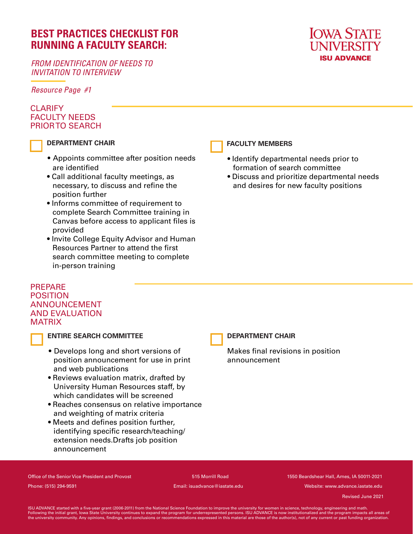# **BEST PRACTICES CHECKLIST FOR RUNNING A FACULTY SEARCH:**

*FROM IDENTIFICATION OF NEEDS TO INVITATION TO INTERVIEW*

*Resource Page #1*

### **CLARIFY** FACULTY NEEDS PRIOR TO SEARCH



### **DEPARTMENT CHAIR**

- Appoints committee after position needs are identified
- Call additional faculty meetings, as necessary, to discuss and refine the position further
- Informs committee of requirement to complete Search Committee training in Canvas before access to applicant files is provided
- Invite College Equity Advisor and Human Resources Partner to attend the first search committee meeting to complete in-person training



### **FACULTY MEMBERS**

- Identify departmental needs prior to formation of search committee
- Discuss and prioritize departmental needs and desires for new faculty positions

### PREPARE POSITION ANNOUNCEMENT AND EVALUATION **MATRIX**



### **ENTIRE SEARCH COMMITTEE**

- Develops long and short versions of position announcement for use in print and web publications
- Reviews evaluation matrix, drafted by University Human Resources staff, by which candidates will be screened
- Reaches consensus on relative importance and weighting of matrix criteria
- Meets and defines position further, identifying specific research/teaching/ extension needs.Drafts job position announcement

### **DEPARTMENT CHAIR**

Makes final revisions in position announcement

Office of the Senior Vice President and Provost 515 Morrill Road 1550 Beardshear Hall, Ames, IA 50011-2021 Phone: (515) 294-9591 Email: isuadvance@iastate.edu Website: www.advance.iastate.edu

May 2020 Revised June 2021

ISU ADVANCE started with a five-year grant (2006-2011) from the National Science Foundation to improve the university for women in science, technology, engineering and math.<br>Following the initial grant, lowa State Universi the university community. Any opinions, findings, and conclusions or recommendations expressed in this material are those of the author(s), not of any current or past funding organization.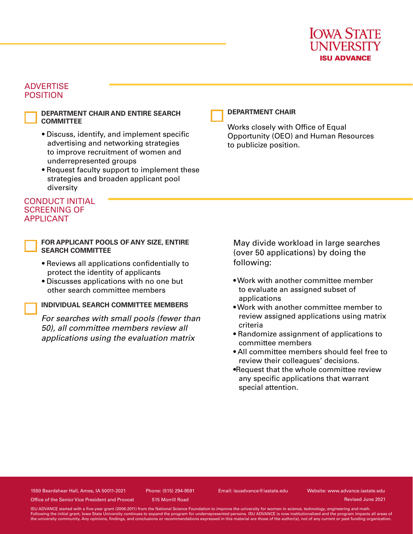

### **ADVERTISE** POSITION

**DEPARTMENT CHAIR AND ENTIRE SEARCH COMMITTEE**

- Discuss, identify, and implement specific advertising and networking strategies to improve recruitment of women and underrepresented groups
- Request faculty support to implement these strategies and broaden applicant pool diversity

### CONDUCT INITIAL SCREENING OF APPLICANT

**FOR APPLICANT POOLS OF ANY SIZE, ENTIRE SEARCH COMMITTEE**

- Reviews all applications confidentially to protect the identity of applicants
- Discusses applications with no one but other search committee members

### **INDIVIDUAL SEARCH COMMITTEE MEMBERS**

*For searches with small pools (fewer than 50), all committee members review all applications using the evaluation matrix*

#### **DEPARTMENT CHAIR**

Works closely with Office of Equal Opportunity (OEO) and Human Resources to publicize position.

May divide workload in large searches (over 50 applications) by doing the following:

- Work with another committee member to evaluate an assigned subset of applications
- Work with another committee member to review assigned applications using matrix criteria
- Randomize assignment of applications to committee members
- All committee members should feel free to review their colleagues' decisions.
- •Request that the whole committee review any specific applications that warrant special attention.

1550 Beardshear Hall, Ames, IA 50011-2021 Phone: (515) 294-9591 Email: isuadvance@iastate.edu Website: www.advance.iastate.edu

Revised June 2021

Office of the Senior Vice President and Provost 515 Morrill Road

ISU ADVANCE started with a five-year grant (2006-2011) from the National Science Foundation to improve the university for women in science, technology, engineering and math Following the initial grant, Iowa State University continues to expand the program for underrepresented persons. ISU ADVANCE is now institutionalized and the program impacts all areas of the university community. Any opinions, ndings, and conclusions or recommendations expressed in this material are those of the author(s), not of any current or past funding organization.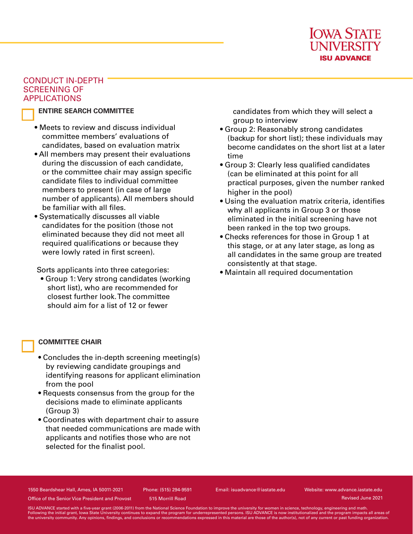

### CONDUCT IN-DEPTH SCREENING OF APPLICATIONS

### **ENTIRE SEARCH COMMITTEE**

- Meets to review and discuss individual committee members' evaluations of candidates, based on evaluation matrix
- All members may present their evaluations during the discussion of each candidate, or the committee chair may assign specific candidate files to individual committee members to present (in case of large number of applicants). All members should be familiar with all files.
- Systematically discusses all viable candidates for the position (those not eliminated because they did not meet all required qualifications or because they were lowly rated in first screen).

Sorts applicants into three categories:

• Group 1: Very strong candidates (working short list), who are recommended for closest further look. The committee should aim for a list of 12 or fewer

### **COMMITTEE CHAIR**

- Concludes the in-depth screening meeting(s) by reviewing candidate groupings and identifying reasons for applicant elimination from the pool
- Requests consensus from the group for the decisions made to eliminate applicants (Group 3)
- Coordinates with department chair to assure that needed communications are made with applicants and notifies those who are not selected for the finalist pool.

candidates from which they will select a group to interview

- Group 2: Reasonably strong candidates (backup for short list); these individuals may become candidates on the short list at a later time
- Group 3: Clearly less qualified candidates (can be eliminated at this point for all practical purposes, given the number ranked higher in the pool)
- Using the evaluation matrix criteria, identifies why all applicants in Group 3 or those eliminated in the initial screening have not been ranked in the top two groups.
- Checks references for those in Group 1 at this stage, or at any later stage, as long as all candidates in the same group are treated consistently at that stage.
- Maintain all required documentation

1550 Beardshear Hall, Ames, IA 50011-2021 Phone: (515) 294-9591 Email: isuadvance@iastate.edu Website: www.advance.iastate.edu

Revised June 2021

Office of the Senior Vice President and Provost 515 Morrill Road

ISU ADVANCE started with a five-year grant (2006-2011) from the National Science Foundation to improve the university for women in science, technology, engineering and math.<br>Following the initial grant, lowa State Universi the university community. Any opinions, findings, and conclusions or recommendations expressed in this material are those of the author(s), not of any current or past funding organization.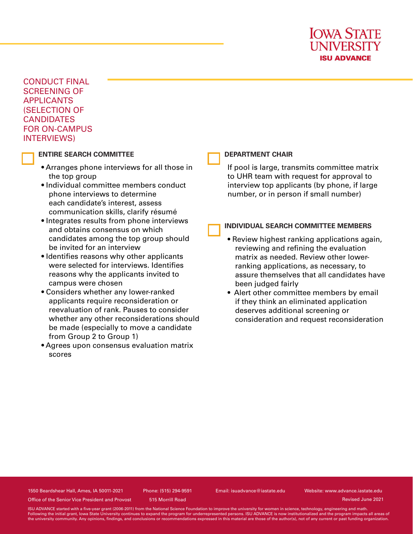

CONDUCT FINAL SCREENING OF APPLICANTS (SELECTION OF **CANDIDATES** FOR ON-CAMPUS INTERVIEWS)

#### **ENTIRE SEARCH COMMITTEE**

- Arranges phone interviews for all those in the top group
- Individual committee members conduct phone interviews to determine each candidate's interest, assess communication skills, clarify résumé
- Integrates results from phone interviews and obtains consensus on which candidates among the top group should be invited for an interview
- Identifies reasons why other applicants were selected for interviews. Identifies reasons why the applicants invited to campus were chosen
- Considers whether any lower-ranked applicants require reconsideration or reevaluation of rank. Pauses to consider whether any other reconsiderations should be made (especially to move a candidate from Group 2 to Group 1)
- Agrees upon consensus evaluation matrix scores

#### **DEPARTMENT CHAIR**

If pool is large, transmits committee matrix to UHR team with request for approval to interview top applicants (by phone, if large number, or in person if small number)

#### **INDIVIDUAL SEARCH COMMITTEE MEMBERS**

- Review highest ranking applications again, reviewing and refining the evaluation matrix as needed. Review other lowerranking applications, as necessary, to assure themselves that all candidates have been judged fairly
- Alert other committee members by email if they think an eliminated application deserves additional screening or consideration and request reconsideration

1550 Beardshear Hall, Ames, IA 50011-2021 Phone: (515) 294-9591 Email: isuadvance@iastate.edu Website: www.advance.iastate.edu

Office of the Senior Vice President and Provost 515 Morrill Road

Revised June 2021

ISU ADVANCE started with a five-year grant (2006-2011) from the National Science Foundation to improve the university for women in science, technology, engineering and math Following the initial grant, Iowa State University continues to expand the program for underrepresented persons. ISU ADVANCE is now institutionalized and the program impacts all areas of the university community. Any opinions, ndings, and conclusions or recommendations expressed in this material are those of the author(s), not of any current or past funding organization.